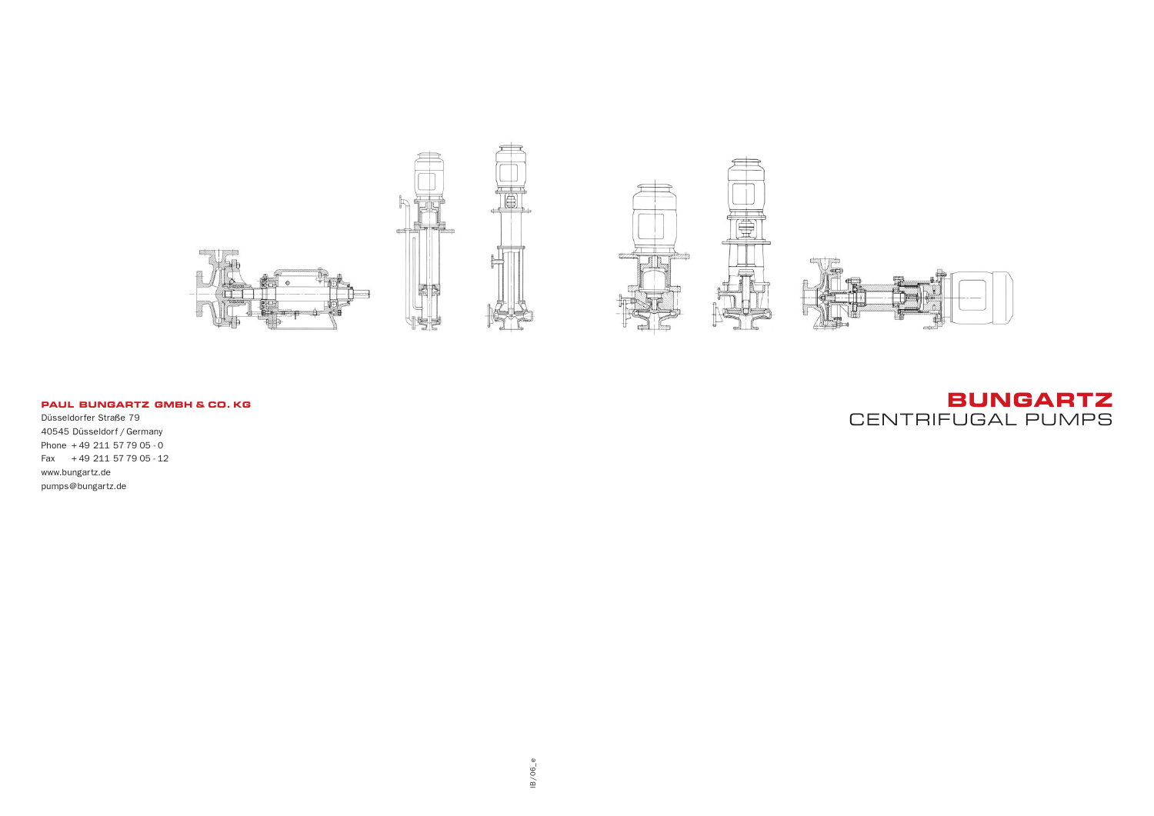## **BUNGARTZ** CENTRIFUGAL PUMPS



#### **PAUL BUNGARTZ GMBH & CO. KG**

Düsseldorfer Straße 79 40545 Düsseldorf / Germany Phone + 49 211 57 79 05 - 0 Fax + 49 211 57 79 05 - 12 www.bungartz.de pumps@bungartz.de

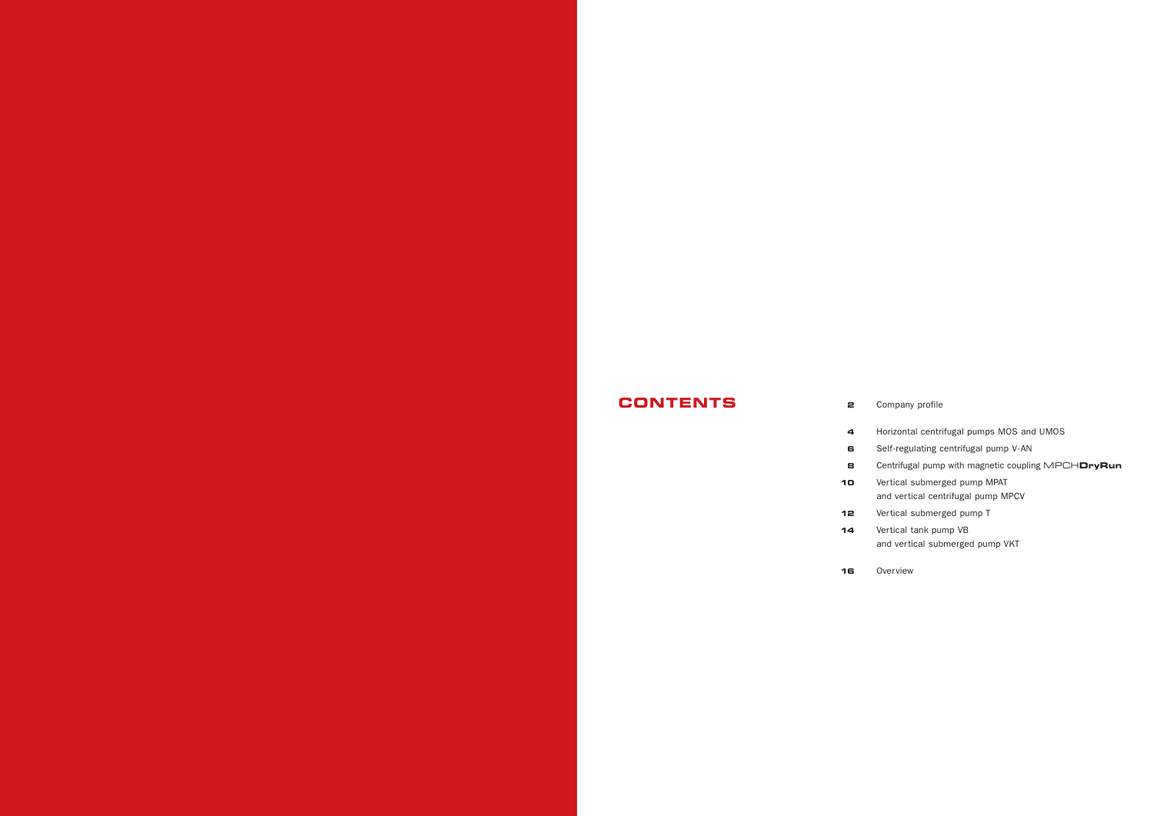# **CONTENTS 2**

| ---- | c  |
|------|----|
|      | 4  |
|      | 6  |
|      | 8  |
|      | 10 |
|      |    |
|      | 12 |
|      | 14 |
|      |    |

**16**

Company profile

Horizontal centrifugal pumps MOS and UMOS Self-regulating centrifugal pump V-AN Centrifugal pump with magnetic coupling MPCH**DryRun** Vertical submerged pump MPAT and vertical centrifugal pump MPCV Vertical submerged pump T Vertical tank pump VB and vertical submerged pump VKT

Overview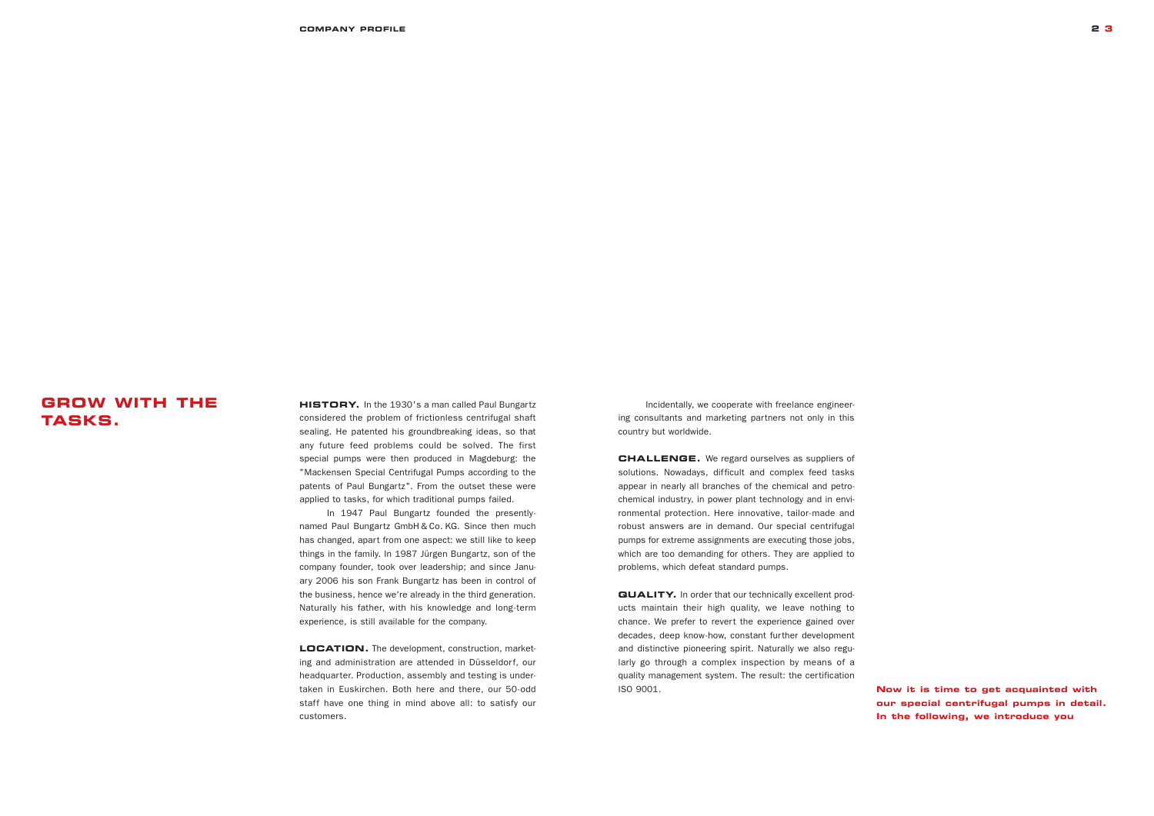### **GROW WITH THE TASKS.**

**HISTORY.** In the 1930's a man called Paul Bungartz considered the problem of frictionless centrifugal shaft sealing. He patented his groundbreaking ideas, so that any future feed problems could be solved. The first special pumps were then produced in Magdeburg: the "Mackensen Special Centrifugal Pumps according to the patents of Paul Bungartz". From the outset these were applied to tasks, for which traditional pumps failed.

LOCATION. The development, construction, marketing and administration are attended in Düsseldorf, our headquarter. Production, assembly and testing is undertaken in Euskirchen. Both here and there, our 50-odd staff have one thing in mind above all: to satisfy our customers.

In 1947 Paul Bungartz founded the presentlynamed Paul Bungartz GmbH & Co. KG. Since then much has changed, apart from one aspect: we still like to keep things in the family. In 1987 Jürgen Bungartz, son of the company founder, took over leadership; and since January 2006 his son Frank Bungartz has been in control of the business, hence we're already in the third generation. Naturally his father, with his knowledge and long-term experience, is still available for the company.

**QUALITY.** In order that our technically excellent products maintain their high quality, we leave nothing to chance. We prefer to revert the experience gained over decades, deep know-how, constant further development and distinctive pioneering spirit. Naturally we also regularly go through a complex inspection by means of a quality management system. The result: the certification ISO 9001.

**COMPANY PROFILE 2 3**

**Now it is time to get acquainted with our special centrifugal pumps in detail. In the following, we introduce you** 

Incidentally, we cooperate with freelance engineering consultants and marketing partners not only in this country but worldwide.

**CHALLENGE.** We regard ourselves as suppliers of solutions. Nowadays, difficult and complex feed tasks appear in nearly all branches of the chemical and petrochemical industry, in power plant technology and in environmental protection. Here innovative, tailor-made and robust answers are in demand. Our special centrifugal pumps for extreme assignments are executing those jobs, which are too demanding for others. They are applied to problems, which defeat standard pumps.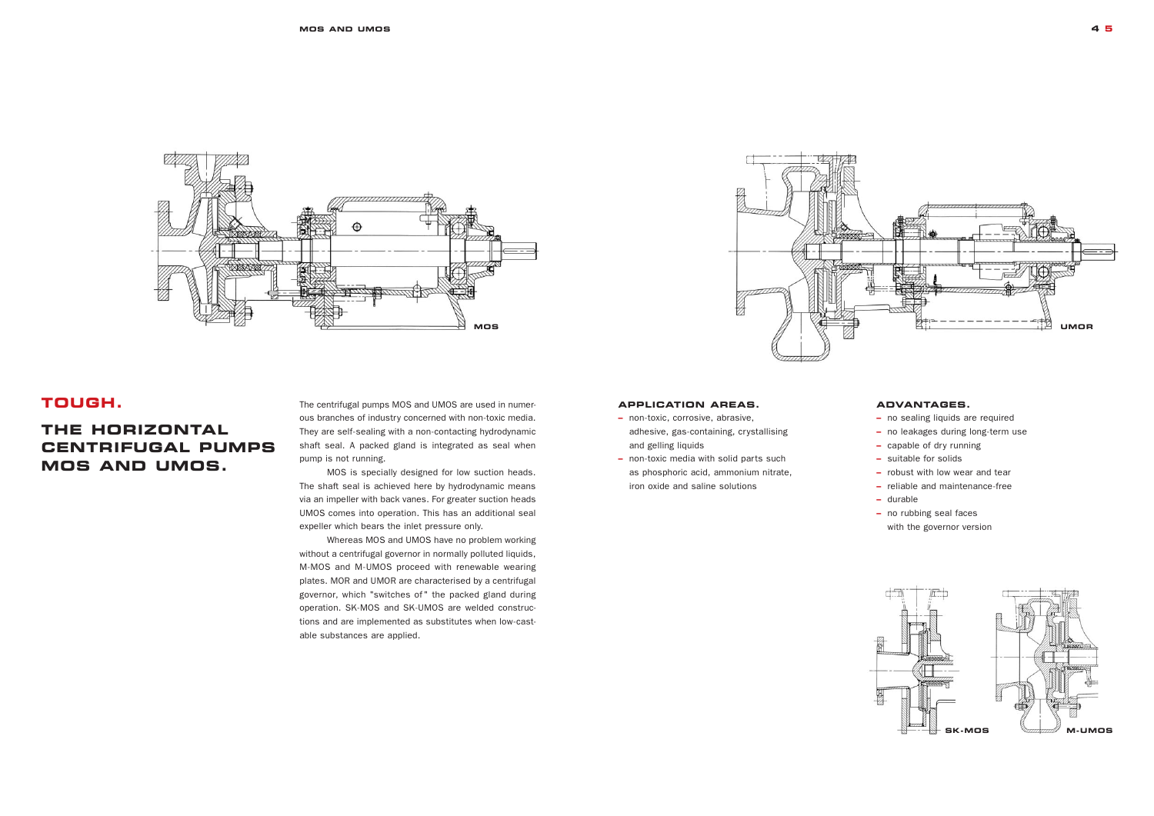### **TOUGH.**

### **THE HORIZONTAL CENTRIFUGAL PUMPS MOS AND UMOS.**

The centrifugal pumps MOS and UMOS are used in numerous branches of industry concerned with non-toxic media. They are self-sealing with a non-contacting hydrodynamic shaft seal. A packed gland is integrated as seal when pump is not running.

MOS is specially designed for low suction heads. The shaft seal is achieved here by hydrodynamic means via an impeller with back vanes. For greater suction heads UMOS comes into operation. This has an additional seal expeller which bears the inlet pressure only.

Whereas MOS and UMOS have no problem working without a centrifugal governor in normally polluted liquids, M-MOS and M-UMOS proceed with renewable wearing plates. MOR and UMOR are characterised by a centrifugal governor, which "switches of" the packed gland during operation. SK-MOS and SK-UMOS are welded constructions and are implemented as substitutes when low-castable substances are applied.



#### **APPLICATION AREAS.**

- **–** non-toxic, corrosive, abrasive, adhesive, gas-containing, crystallising and gelling liquids
- non-toxic media with solid parts such as phosphoric acid, ammonium nitrate, iron oxide and saline solutions

#### **ADVANTAGES.**

- no sealing liquids are required
- no leakages during long-term use
- capable of dry running
- suitable for solids
- robust with low wear and tear
- reliable and maintenance-free
- durable
- no rubbing seal faces with the governor version



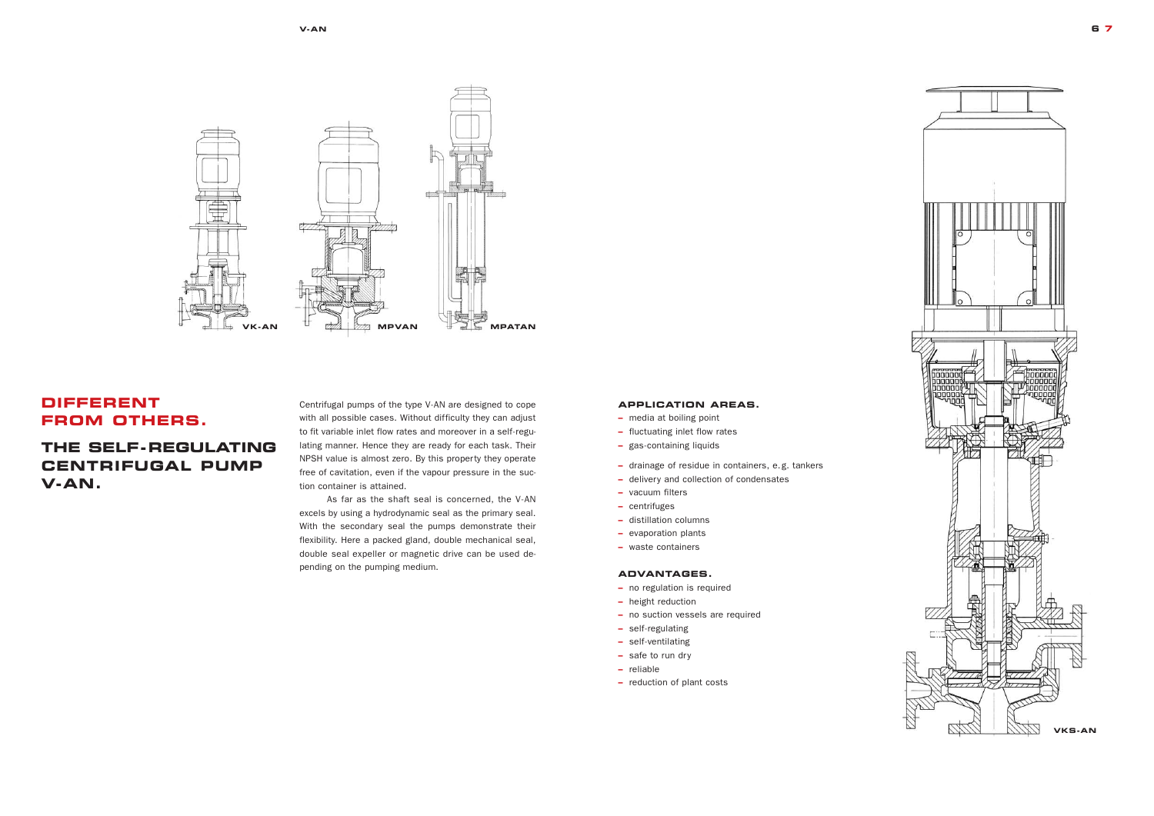### **DIFFERENT FROM OTHERS.**

### **THE SELF-REGULATING CENTRIFUGAL PUMP V-AN.**

#### **APPLICATION AREAS.**

- **–** media at boiling point
- **–** fluctuating inlet flow rates
- **–** gas-containing liquids
- **–** drainage of residue in containers, e.g. tankers
- **–** delivery and collection of condensates
- vacuum filters
- centrifuges
- distillation columns
- evaporation plants
- waste containers

#### **ADVANTAGES.**

- no regulation is required
- height reduction
- no suction vessels are required
- self-regulating
- self-ventilating
- safe to run dry
- reliable
- **–** reduction of plant costs

Centrifugal pumps of the type V-AN are designed to cope with all possible cases. Without difficulty they can adjust to fit variable inlet flow rates and moreover in a self-regulating manner. Hence they are ready for each task. Their NPSH value is almost zero. By this property they operate free of cavitation, even if the vapour pressure in the suction container is attained.

As far as the shaft seal is concerned, the V-AN excels by using a hydrodynamic seal as the primary seal. With the secondary seal the pumps demonstrate their flexibility. Here a packed gland, double mechanical seal, double seal expeller or magnetic drive can be used depending on the pumping medium.





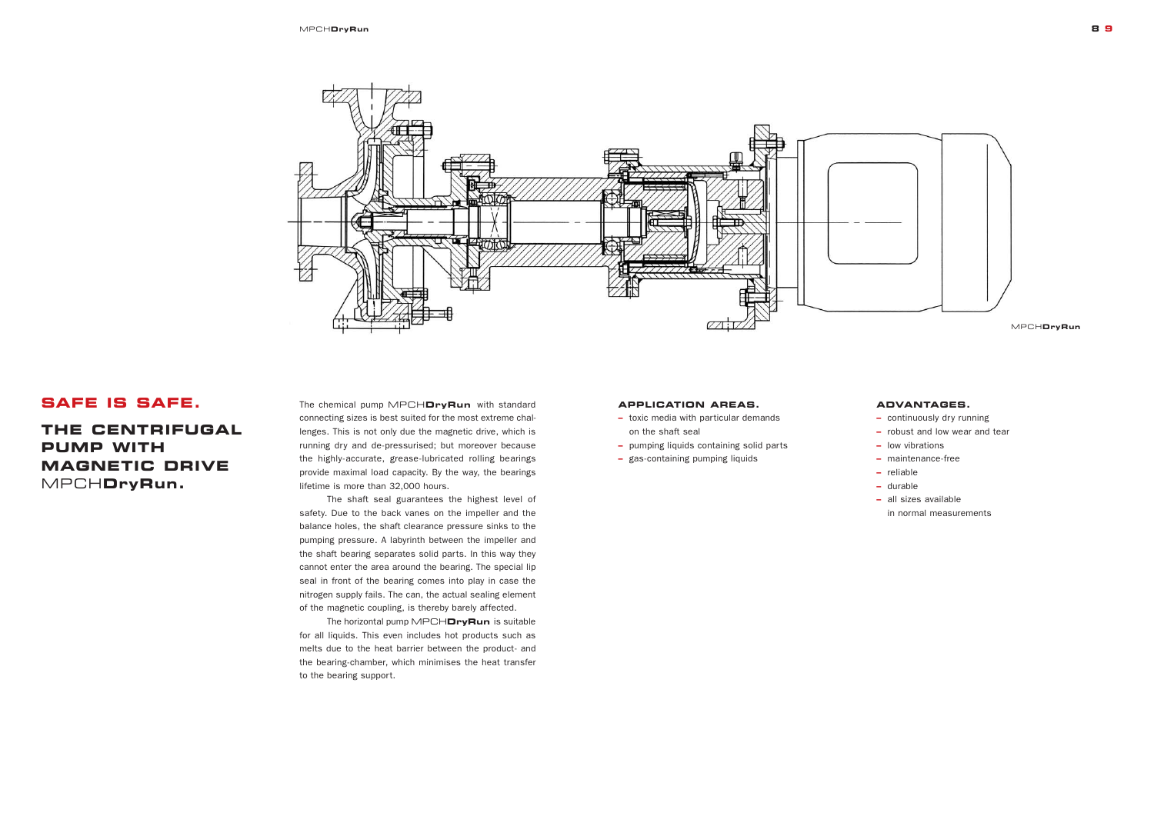### **SAFE IS SAFE.**

**THE CENTRIFUGAL PUMP WITH MAGNETIC DRIVE**  MPCH**DryRun.**

The chemical pump MPCH**DryRun** with standard connecting sizes is best suited for the most extreme challenges. This is not only due the magnetic drive, which is running dry and de-pressurised; but moreover because the highly-accurate, grease-lubricated rolling bearings provide maximal load capacity. By the way, the bearings lifetime is more than 32,000 hours.

The shaft seal guarantees the highest level of safety. Due to the back vanes on the impeller and the balance holes, the shaft clearance pressure sinks to the pumping pressure. A labyrinth between the impeller and the shaft bearing separates solid parts. In this way they cannot enter the area around the bearing. The special lip seal in front of the bearing comes into play in case the nitrogen supply fails. The can, the actual sealing element of the magnetic coupling, is thereby barely affected.

The horizontal pump MPCH**DryRun** is suitable for all liquids. This even includes hot products such as melts due to the heat barrier between the product- and the bearing-chamber, which minimises the heat transfer to the bearing support.



#### **APPLICATION AREAS.**

- **–** toxic media with particular demands on the shaft seal
- **–** pumping liquids containing solid parts
- **–** gas-containing pumping liquids



### **ADVANTAGES.**

- continuously dry running
- robust and low wear and tear
- low vibrations
- maintenance-free
- reliable
- durable
- all sizes available in normal measurements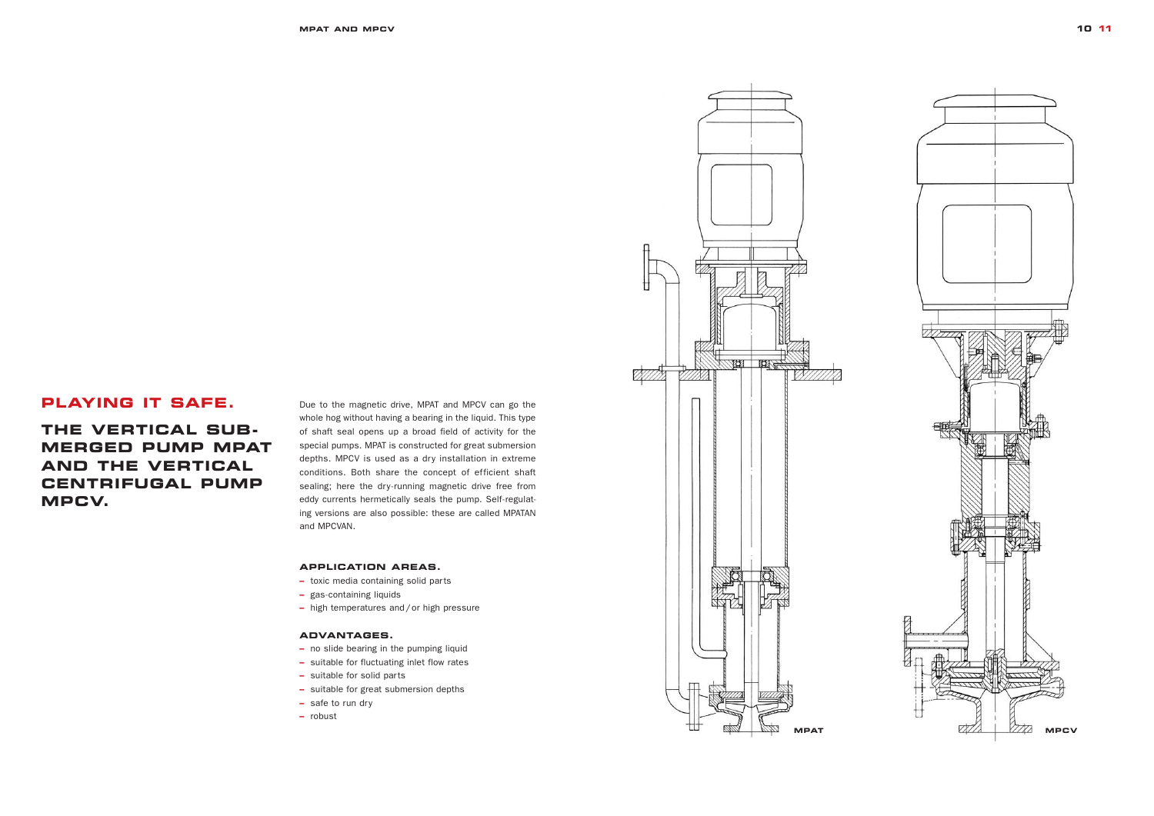### **PLAYING IT SAFE.**

**THE VERTICAL SUB-MERGED PUMP MPAT AND THE VERTICAL CENTRIFUGAL PUMP MPCV.**

Due to the magnetic drive, MPAT and MPCV can go the whole hog without having a bearing in the liquid. This type of shaft seal opens up a broad field of activity for the special pumps. MPAT is constructed for great submersion depths. MPCV is used as a dry installation in extreme conditions. Both share the concept of efficient shaft sealing; here the dry-running magnetic drive free from eddy currents hermetically seals the pump. Self-regulating versions are also possible: these are called MPATAN and MPCVAN.

#### **APPLICATION AREAS.**

- **–** toxic media containing solid parts
- **–** gas-containing liquids
- **–** high temperatures and/or high pressure

#### **ADVANTAGES.**

- no slide bearing in the pumping liquid
- suitable for fluctuating inlet flow rates
- suitable for solid parts
- suitable for great submersion depths
- **–** safe to run dry
- **–** robust



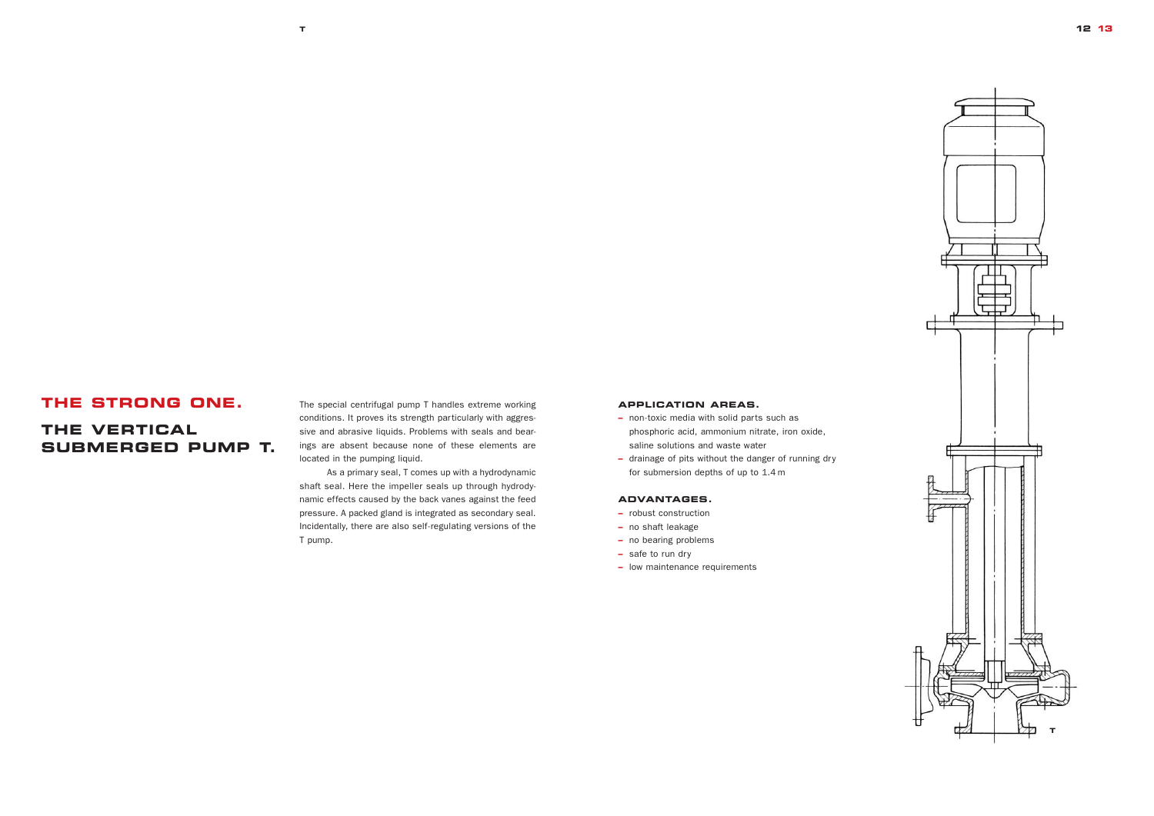### **THE STRONG ONE.**

### **THE VERTICAL SUBMERGED PUMP T.**

#### **APPLICATION AREAS.**

- **–** non-toxic media with solid parts such as phosphoric acid, ammonium nitrate, iron oxide, saline solutions and waste water
- **–** drainage of pits without the danger of running dry for submersion depths of up to 1.4 m

#### **ADVANTAGES.**

- robust construction
- no shaft leakage
- no bearing problems
- safe to run dry
- low maintenance requirements

The special centrifugal pump T handles extreme working conditions. It proves its strength particularly with aggressive and abrasive liquids. Problems with seals and bearings are absent because none of these elements are located in the pumping liquid.

As a primary seal, T comes up with a hydrodynamic shaft seal. Here the impeller seals up through hydrodynamic effects caused by the back vanes against the feed pressure. A packed gland is integrated as secondary seal. Incidentally, there are also self-regulating versions of the T pump.

**T**

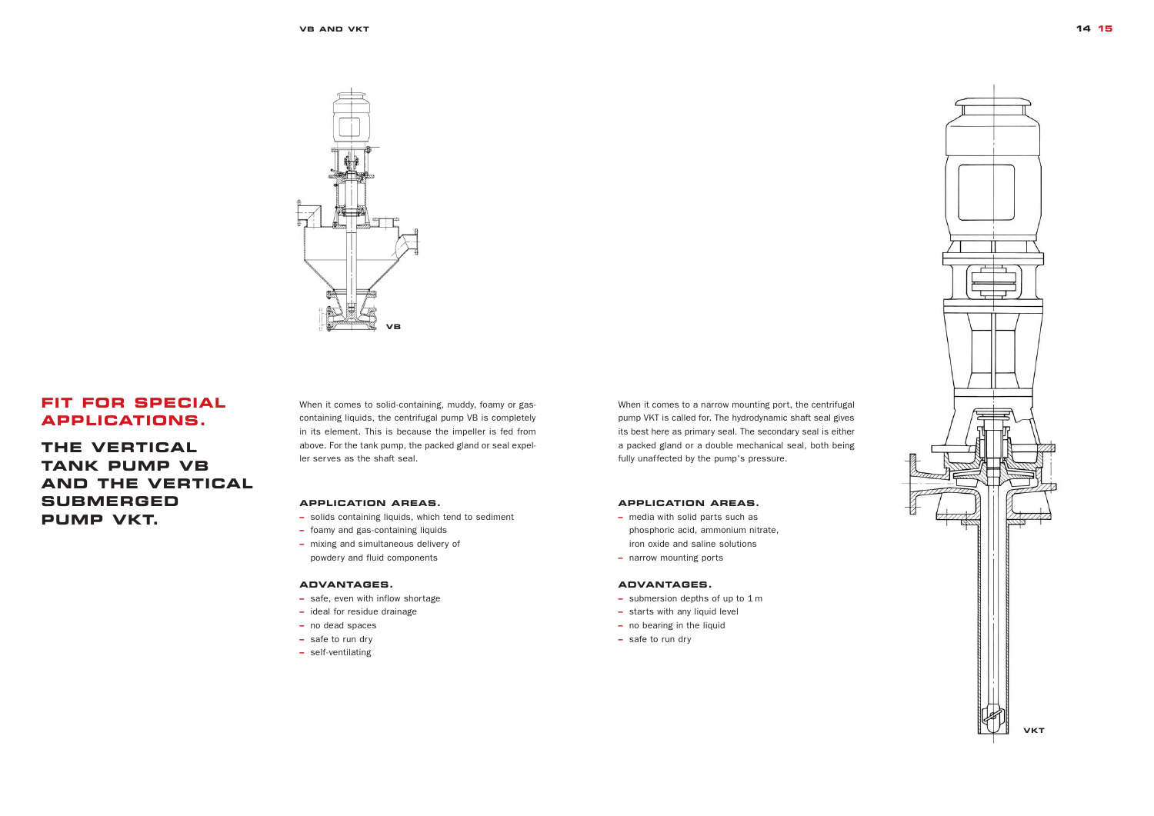### **FIT FOR SPECIAL APPLICATIONS.**

**THE VERTICAL TANK PUMP VB AND THE VERTICAL SUBMERGED PUMP VKT.**

When it comes to a narrow mounting port, the centrifugal pump VKT is called for. The hydrodynamic shaft seal gives its best here as primary seal. The secondary seal is either a packed gland or a double mechanical seal, both being fully unaffected by the pump's pressure.

#### **APPLICATION AREAS.**

- **–** media with solid parts such as phosphoric acid, ammonium nitrate, iron oxide and saline solutions
- **–** narrow mounting ports

#### **ADVANTAGES.**

- submersion depths of up to 1 m
- starts with any liquid level
- no bearing in the liquid
- safe to run dry

When it comes to solid-containing, muddy, foamy or gascontaining liquids, the centrifugal pump VB is completely in its element. This is because the impeller is fed from above. For the tank pump, the packed gland or seal expeller serves as the shaft seal.

#### **APPLICATION AREAS.**

- **–** solids containing liquids, which tend to sediment
- **–** foamy and gas-containing liquids
- **–** mixing and simultaneous delivery of powdery and fluid components

#### **ADVANTAGES.**

- safe, even with inflow shortage
- ideal for residue drainage
- no dead spaces
- safe to run dry
- self-ventilating

**VB AND VKT**